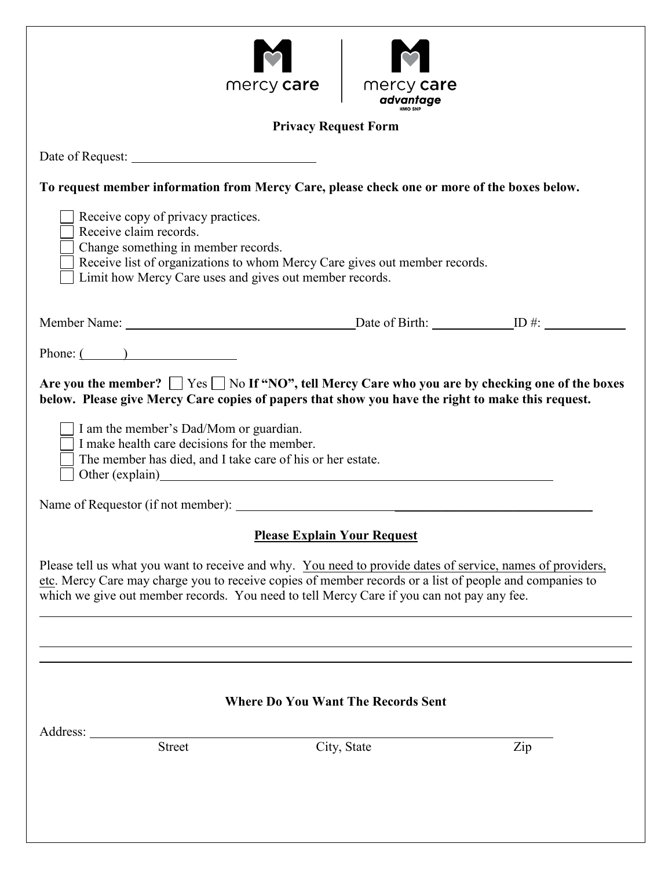| $\blacklozenge$   |
|-------------------|
| mercy <b>care</b> |



| To request member information from Mercy Care, please check one or more of the boxes below.                                                                                                                                                                                                                        |             |     |  |
|--------------------------------------------------------------------------------------------------------------------------------------------------------------------------------------------------------------------------------------------------------------------------------------------------------------------|-------------|-----|--|
| Receive copy of privacy practices.<br>Receive claim records.<br>Change something in member records.<br>Receive list of organizations to whom Mercy Care gives out member records.<br>Limit how Mercy Care uses and gives out member records.                                                                       |             |     |  |
|                                                                                                                                                                                                                                                                                                                    |             |     |  |
| Phone: $\overline{(\qquad)}$                                                                                                                                                                                                                                                                                       |             |     |  |
| Are you the member? $\Box$ Yes $\Box$ No If "NO", tell Mercy Care who you are by checking one of the boxes<br>below. Please give Mercy Care copies of papers that show you have the right to make this request.                                                                                                    |             |     |  |
| $\Box$ I am the member's Dad/Mom or guardian.<br>I make health care decisions for the member.<br>The member has died, and I take care of his or her estate.                                                                                                                                                        |             |     |  |
|                                                                                                                                                                                                                                                                                                                    |             |     |  |
| <b>Please Explain Your Request</b>                                                                                                                                                                                                                                                                                 |             |     |  |
| Please tell us what you want to receive and why. You need to provide dates of service, names of providers,<br>etc. Mercy Care may charge you to receive copies of member records or a list of people and companies to<br>which we give out member records. You need to tell Mercy Care if you can not pay any fee. |             |     |  |
|                                                                                                                                                                                                                                                                                                                    |             |     |  |
|                                                                                                                                                                                                                                                                                                                    |             |     |  |
| <b>Where Do You Want The Records Sent</b>                                                                                                                                                                                                                                                                          |             |     |  |
| Address:<br><b>Street</b>                                                                                                                                                                                                                                                                                          | City, State | Zip |  |
|                                                                                                                                                                                                                                                                                                                    |             |     |  |